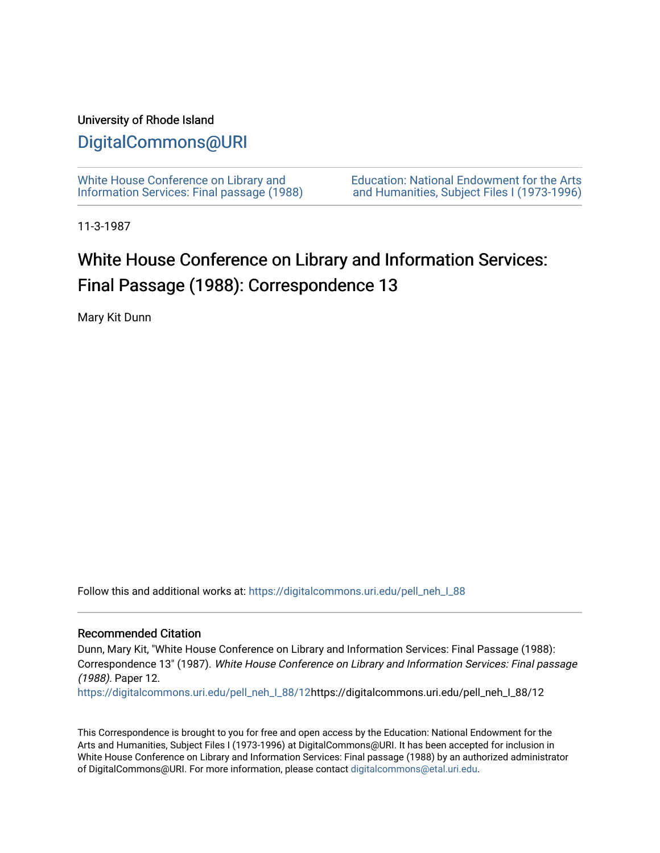## University of Rhode Island

## [DigitalCommons@URI](https://digitalcommons.uri.edu/)

[White House Conference on Library and](https://digitalcommons.uri.edu/pell_neh_I_88) [Information Services: Final passage \(1988\)](https://digitalcommons.uri.edu/pell_neh_I_88) [Education: National Endowment for the Arts](https://digitalcommons.uri.edu/pell_neh_I)  [and Humanities, Subject Files I \(1973-1996\)](https://digitalcommons.uri.edu/pell_neh_I) 

11-3-1987

## White House Conference on Library and Information Services: Final Passage (1988): Correspondence 13

Mary Kit Dunn

Follow this and additional works at: [https://digitalcommons.uri.edu/pell\\_neh\\_I\\_88](https://digitalcommons.uri.edu/pell_neh_I_88?utm_source=digitalcommons.uri.edu%2Fpell_neh_I_88%2F12&utm_medium=PDF&utm_campaign=PDFCoverPages) 

## Recommended Citation

Dunn, Mary Kit, "White House Conference on Library and Information Services: Final Passage (1988): Correspondence 13" (1987). White House Conference on Library and Information Services: Final passage (1988). Paper 12.

[https://digitalcommons.uri.edu/pell\\_neh\\_I\\_88/12h](https://digitalcommons.uri.edu/pell_neh_I_88/12?utm_source=digitalcommons.uri.edu%2Fpell_neh_I_88%2F12&utm_medium=PDF&utm_campaign=PDFCoverPages)ttps://digitalcommons.uri.edu/pell\_neh\_I\_88/12

This Correspondence is brought to you for free and open access by the Education: National Endowment for the Arts and Humanities, Subject Files I (1973-1996) at DigitalCommons@URI. It has been accepted for inclusion in White House Conference on Library and Information Services: Final passage (1988) by an authorized administrator of DigitalCommons@URI. For more information, please contact [digitalcommons@etal.uri.edu](mailto:digitalcommons@etal.uri.edu).